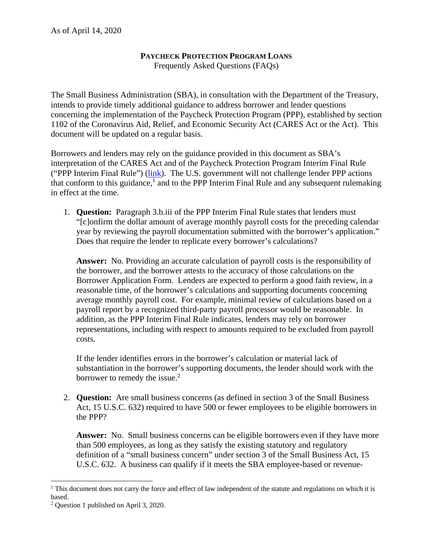## **PAYCHECK PROTECTION PROGRAM LOANS**

Frequently Asked Questions (FAQs)

The Small Business Administration (SBA), in consultation with the Department of the Treasury, intends to provide timely additional guidance to address borrower and lender questions concerning the implementation of the Paycheck Protection Program (PPP), established by section 1102 of the Coronavirus Aid, Relief, and Economic Security Act (CARES Act or the Act). This document will be updated on a regular basis.

Borrowers and lenders may rely on the guidance provided in this document as SBA's interpretation of the CARES Act and of the Paycheck Protection Program Interim Final Rule ("PPP Interim Final Rule") (link). The U.S. government will not challenge lender PPP actions that conform to this guidance,<sup>1</sup> and to the PPP Interim Final Rule and any subsequent rulemaking in effect at the time.

1. **Question:** Paragraph 3.b.iii of the PPP Interim Final Rule states that lenders must "[c]onfirm the dollar amount of average monthly payroll costs for the preceding calendar year by reviewing the payroll documentation submitted with the borrower's application." Does that require the lender to replicate every borrower's calculations?

**Answer:** No. Providing an accurate calculation of payroll costs is the responsibility of the borrower, and the borrower attests to the accuracy of those calculations on the Borrower Application Form. Lenders are expected to perform a good faith review, in a reasonable time, of the borrower's calculations and supporting documents concerning average monthly payroll cost. For example, minimal review of calculations based on a payroll report by a recognized third-party payroll processor would be reasonable. In addition, as the PPP Interim Final Rule indicates, lenders may rely on borrower representations, including with respect to amounts required to be excluded from payroll costs.

If the lender identifies errors in the borrower's calculation or material lack of substantiation in the borrower's supporting documents, the lender should work with the borrower to remedy the issue. $2$ 

2. **Question:** Are small business concerns (as defined in section 3 of the Small Business Act, 15 U.S.C. 632) required to have 500 or fewer employees to be eligible borrowers in the PPP?

**Answer:** No. Small business concerns can be eligible borrowers even if they have more than 500 employees, as long as they satisfy the existing statutory and regulatory definition of a "small business concern" under section 3 of the Small Business Act, 15 U.S.C. 632. A business can qualify if it meets the SBA employee-based or revenue-

 <sup>1</sup> This document does not carry the force and effect of law independent of the statute and regulations on which it is based.

<sup>2</sup> Question 1 published on April 3, 2020.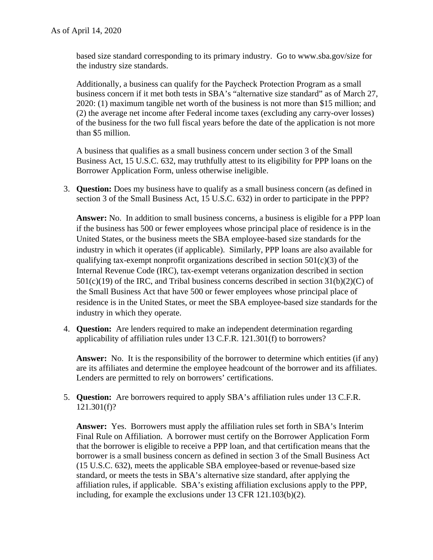based size standard corresponding to its primary industry. Go to www.sba.gov/size for the industry size standards.

Additionally, a business can qualify for the Paycheck Protection Program as a small business concern if it met both tests in SBA's "alternative size standard" as of March 27, 2020: (1) maximum tangible net worth of the business is not more than \$15 million; and (2) the average net income after Federal income taxes (excluding any carry-over losses) of the business for the two full fiscal years before the date of the application is not more than \$5 million.

A business that qualifies as a small business concern under section 3 of the Small Business Act, 15 U.S.C. 632, may truthfully attest to its eligibility for PPP loans on the Borrower Application Form, unless otherwise ineligible.

3. **Question:** Does my business have to qualify as a small business concern (as defined in section 3 of the Small Business Act, 15 U.S.C. 632) in order to participate in the PPP?

**Answer:** No. In addition to small business concerns, a business is eligible for a PPP loan if the business has 500 or fewer employees whose principal place of residence is in the United States, or the business meets the SBA employee-based size standards for the industry in which it operates (if applicable). Similarly, PPP loans are also available for qualifying tax-exempt nonprofit organizations described in section  $501(c)(3)$  of the Internal Revenue Code (IRC), tax-exempt veterans organization described in section  $501(c)(19)$  of the IRC, and Tribal business concerns described in section  $31(b)(2)(C)$  of the Small Business Act that have 500 or fewer employees whose principal place of residence is in the United States, or meet the SBA employee-based size standards for the industry in which they operate.

4. **Question:** Are lenders required to make an independent determination regarding applicability of affiliation rules under 13 C.F.R. 121.301(f) to borrowers?

**Answer:** No. It is the responsibility of the borrower to determine which entities (if any) are its affiliates and determine the employee headcount of the borrower and its affiliates. Lenders are permitted to rely on borrowers' certifications.

5. **Question:** Are borrowers required to apply SBA's affiliation rules under 13 C.F.R. 121.301(f)?

**Answer:** Yes. Borrowers must apply the affiliation rules set forth in SBA's Interim Final Rule on Affiliation. A borrower must certify on the Borrower Application Form that the borrower is eligible to receive a PPP loan, and that certification means that the borrower is a small business concern as defined in section 3 of the Small Business Act (15 U.S.C. 632), meets the applicable SBA employee-based or revenue-based size standard, or meets the tests in SBA's alternative size standard, after applying the affiliation rules, if applicable. SBA's existing affiliation exclusions apply to the PPP, including, for example the exclusions under 13 CFR 121.103(b)(2).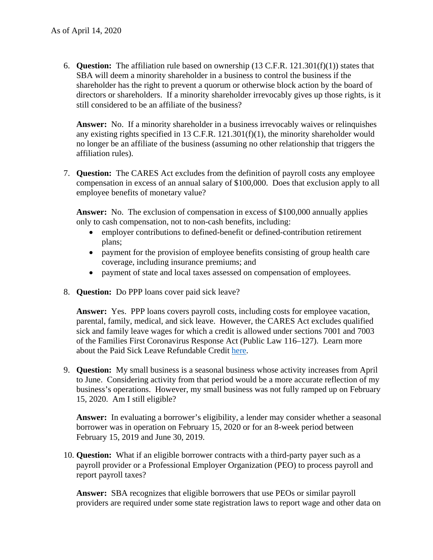6. **Question:** The affiliation rule based on ownership (13 C.F.R. 121.301(f)(1)) states that SBA will deem a minority shareholder in a business to control the business if the shareholder has the right to prevent a quorum or otherwise block action by the board of directors or shareholders. If a minority shareholder irrevocably gives up those rights, is it still considered to be an affiliate of the business?

**Answer:** No. If a minority shareholder in a business irrevocably waives or relinquishes any existing rights specified in 13 C.F.R.  $121.301(f)(1)$ , the minority shareholder would no longer be an affiliate of the business (assuming no other relationship that triggers the affiliation rules).

7. **Question:** The CARES Act excludes from the definition of payroll costs any employee compensation in excess of an annual salary of \$100,000. Does that exclusion apply to all employee benefits of monetary value?

**Answer:** No. The exclusion of compensation in excess of \$100,000 annually applies only to cash compensation, not to non-cash benefits, including:

- employer contributions to defined-benefit or defined-contribution retirement plans;
- payment for the provision of employee benefits consisting of group health care coverage, including insurance premiums; and
- payment of state and local taxes assessed on compensation of employees.
- 8. **Question:** Do PPP loans cover paid sick leave?

**Answer:** Yes. PPP loans covers payroll costs, including costs for employee vacation, parental, family, medical, and sick leave. However, the CARES Act excludes qualified sick and family leave wages for which a credit is allowed under sections 7001 and 7003 of the Families First Coronavirus Response Act (Public Law 116–127). Learn more about the Paid Sick Leave Refundable Credit here.

9. **Question:** My small business is a seasonal business whose activity increases from April to June. Considering activity from that period would be a more accurate reflection of my business's operations. However, my small business was not fully ramped up on February 15, 2020. Am I still eligible?

**Answer:** In evaluating a borrower's eligibility, a lender may consider whether a seasonal borrower was in operation on February 15, 2020 or for an 8-week period between February 15, 2019 and June 30, 2019.

10. **Question:** What if an eligible borrower contracts with a third-party payer such as a payroll provider or a Professional Employer Organization (PEO) to process payroll and report payroll taxes?

**Answer:** SBA recognizes that eligible borrowers that use PEOs or similar payroll providers are required under some state registration laws to report wage and other data on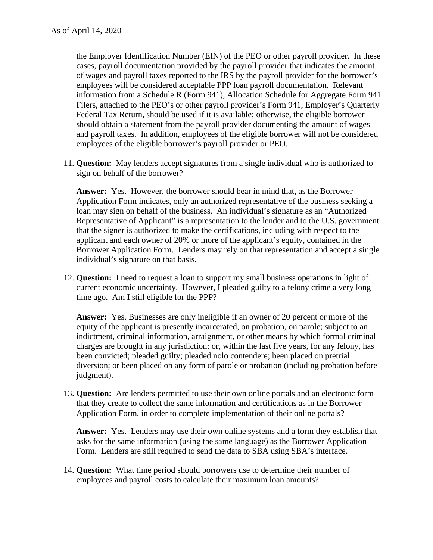the Employer Identification Number (EIN) of the PEO or other payroll provider. In these cases, payroll documentation provided by the payroll provider that indicates the amount of wages and payroll taxes reported to the IRS by the payroll provider for the borrower's employees will be considered acceptable PPP loan payroll documentation. Relevant information from a Schedule R (Form 941), Allocation Schedule for Aggregate Form 941 Filers, attached to the PEO's or other payroll provider's Form 941, Employer's Quarterly Federal Tax Return, should be used if it is available; otherwise, the eligible borrower should obtain a statement from the payroll provider documenting the amount of wages and payroll taxes. In addition, employees of the eligible borrower will not be considered employees of the eligible borrower's payroll provider or PEO.

11. **Question:** May lenders accept signatures from a single individual who is authorized to sign on behalf of the borrower?

**Answer:** Yes. However, the borrower should bear in mind that, as the Borrower Application Form indicates, only an authorized representative of the business seeking a loan may sign on behalf of the business. An individual's signature as an "Authorized Representative of Applicant" is a representation to the lender and to the U.S. government that the signer is authorized to make the certifications, including with respect to the applicant and each owner of 20% or more of the applicant's equity, contained in the Borrower Application Form. Lenders may rely on that representation and accept a single individual's signature on that basis.

12. **Question:** I need to request a loan to support my small business operations in light of current economic uncertainty. However, I pleaded guilty to a felony crime a very long time ago. Am I still eligible for the PPP?

**Answer:** Yes. Businesses are only ineligible if an owner of 20 percent or more of the equity of the applicant is presently incarcerated, on probation, on parole; subject to an indictment, criminal information, arraignment, or other means by which formal criminal charges are brought in any jurisdiction; or, within the last five years, for any felony, has been convicted; pleaded guilty; pleaded nolo contendere; been placed on pretrial diversion; or been placed on any form of parole or probation (including probation before judgment).

13. **Question:** Are lenders permitted to use their own online portals and an electronic form that they create to collect the same information and certifications as in the Borrower Application Form, in order to complete implementation of their online portals?

**Answer:** Yes. Lenders may use their own online systems and a form they establish that asks for the same information (using the same language) as the Borrower Application Form. Lenders are still required to send the data to SBA using SBA's interface.

14. **Question:** What time period should borrowers use to determine their number of employees and payroll costs to calculate their maximum loan amounts?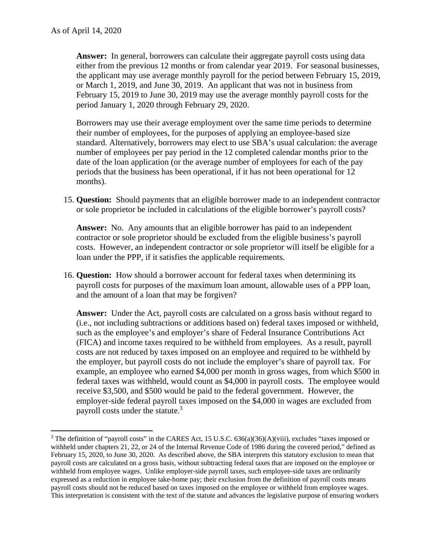**Answer:** In general, borrowers can calculate their aggregate payroll costs using data either from the previous 12 months or from calendar year 2019. For seasonal businesses, the applicant may use average monthly payroll for the period between February 15, 2019, or March 1, 2019, and June 30, 2019. An applicant that was not in business from February 15, 2019 to June 30, 2019 may use the average monthly payroll costs for the period January 1, 2020 through February 29, 2020.

Borrowers may use their average employment over the same time periods to determine their number of employees, for the purposes of applying an employee-based size standard. Alternatively, borrowers may elect to use SBA's usual calculation: the average number of employees per pay period in the 12 completed calendar months prior to the date of the loan application (or the average number of employees for each of the pay periods that the business has been operational, if it has not been operational for 12 months).

15. **Question:** Should payments that an eligible borrower made to an independent contractor or sole proprietor be included in calculations of the eligible borrower's payroll costs?

**Answer:** No. Any amounts that an eligible borrower has paid to an independent contractor or sole proprietor should be excluded from the eligible business's payroll costs. However, an independent contractor or sole proprietor will itself be eligible for a loan under the PPP, if it satisfies the applicable requirements.

16. **Question:** How should a borrower account for federal taxes when determining its payroll costs for purposes of the maximum loan amount, allowable uses of a PPP loan, and the amount of a loan that may be forgiven?

**Answer:** Under the Act, payroll costs are calculated on a gross basis without regard to (i.e., not including subtractions or additions based on) federal taxes imposed or withheld, such as the employee's and employer's share of Federal Insurance Contributions Act (FICA) and income taxes required to be withheld from employees. As a result, payroll costs are not reduced by taxes imposed on an employee and required to be withheld by the employer, but payroll costs do not include the employer's share of payroll tax. For example, an employee who earned \$4,000 per month in gross wages, from which \$500 in federal taxes was withheld, would count as \$4,000 in payroll costs. The employee would receive \$3,500, and \$500 would be paid to the federal government. However, the employer-side federal payroll taxes imposed on the \$4,000 in wages are excluded from payroll costs under the statute.<sup>3</sup>

<sup>&</sup>lt;sup>3</sup> The definition of "payroll costs" in the CARES Act, 15 U.S.C.  $636(a)(36)(A)(viii)$ , excludes "taxes imposed or withheld under chapters 21, 22, or 24 of the Internal Revenue Code of 1986 during the covered period," defined as February 15, 2020, to June 30, 2020. As described above, the SBA interprets this statutory exclusion to mean that payroll costs are calculated on a gross basis, without subtracting federal taxes that are imposed on the employee or withheld from employee wages. Unlike employer-side payroll taxes, such employee-side taxes are ordinarily expressed as a reduction in employee take-home pay; their exclusion from the definition of payroll costs means payroll costs should not be reduced based on taxes imposed on the employee or withheld from employee wages. This interpretation is consistent with the text of the statute and advances the legislative purpose of ensuring workers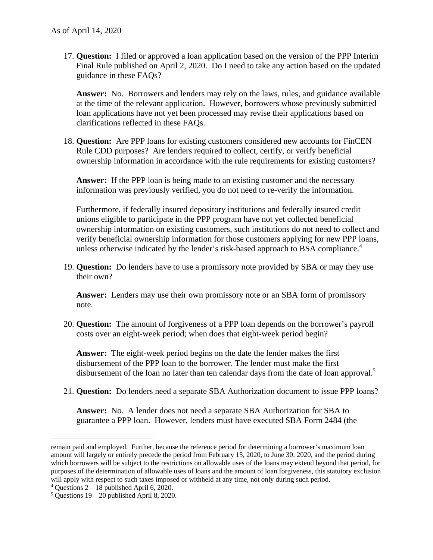17. **Question:** I filed or approved a loan application based on the version of the PPP Interim Final Rule published on April 2, 2020. Do I need to take any action based on the updated guidance in these FAQs?

**Answer:** No. Borrowers and lenders may rely on the laws, rules, and guidance available at the time of the relevant application. However, borrowers whose previously submitted loan applications have not yet been processed may revise their applications based on clarifications reflected in these FAQs.

18. **Question:** Are PPP loans for existing customers considered new accounts for FinCEN Rule CDD purposes? Are lenders required to collect, certify, or verify beneficial ownership information in accordance with the rule requirements for existing customers?

**Answer:** If the PPP loan is being made to an existing customer and the necessary information was previously verified, you do not need to re-verify the information.

Furthermore, if federally insured depository institutions and federally insured credit unions eligible to participate in the PPP program have not yet collected beneficial ownership information on existing customers, such institutions do not need to collect and verify beneficial ownership information for those customers applying for new PPP loans, unless otherwise indicated by the lender's risk-based approach to BSA compliance.<sup>4</sup>

19. **Question:** Do lenders have to use a promissory note provided by SBA or may they use their own?

**Answer:** Lenders may use their own promissory note or an SBA form of promissory note.

20. **Question:** The amount of forgiveness of a PPP loan depends on the borrower's payroll costs over an eight-week period; when does that eight-week period begin?

**Answer:** The eight-week period begins on the date the lender makes the first disbursement of the PPP loan to the borrower. The lender must make the first disbursement of the loan no later than ten calendar days from the date of loan approval.<sup>5</sup>

21. **Question:** Do lenders need a separate SBA Authorization document to issue PPP loans?

**Answer:** No. A lender does not need a separate SBA Authorization for SBA to guarantee a PPP loan. However, lenders must have executed SBA Form 2484 (the

remain paid and employed. Further, because the reference period for determining a borrower's maximum loan amount will largely or entirely precede the period from February 15, 2020, to June 30, 2020, and the period during which borrowers will be subject to the restrictions on allowable uses of the loans may extend beyond that period, for purposes of the determination of allowable uses of loans and the amount of loan forgiveness, this statutory exclusion will apply with respect to such taxes imposed or withheld at any time, not only during such period.

 $4$  Ouestions 2 – 18 published April 6, 2020.

 $5$  Questions  $19 - 20$  published April 8, 2020.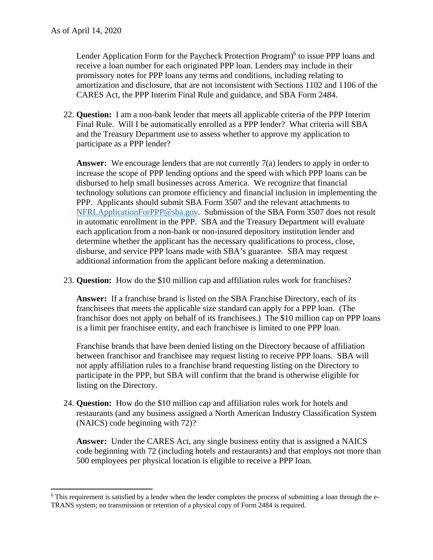Lender Application Form for the Paycheck Protection Program)<sup>6</sup> to issue PPP loans and receive a loan number for each originated PPP loan. Lenders may include in their promissory notes for PPP loans any terms and conditions, including relating to amortization and disclosure, that are not inconsistent with Sections 1102 and 1106 of the CARES Act, the PPP Interim Final Rule and guidance, and SBA Form 2484.

22. **Question:** I am a non-bank lender that meets all applicable criteria of the PPP Interim Final Rule. Will I be automatically enrolled as a PPP lender? What criteria will SBA and the Treasury Department use to assess whether to approve my application to participate as a PPP lender?

Answer: We encourage lenders that are not currently 7(a) lenders to apply in order to increase the scope of PPP lending options and the speed with which PPP loans can be disbursed to help small businesses across America. We recognize that financial technology solutions can promote efficiency and financial inclusion in implementing the PPP. Applicants should submit SBA Form 3507 and the relevant attachments to NFRLApplicationForPPP@sba.gov. Submission of the SBA Form 3507 does not result in automatic enrollment in the PPP. SBA and the Treasury Department will evaluate each application from a non-bank or non-insured depository institution lender and determine whether the applicant has the necessary qualifications to process, close, disburse, and service PPP loans made with SBA's guarantee. SBA may request additional information from the applicant before making a determination.

23. **Question:** How do the \$10 million cap and affiliation rules work for franchises?

**Answer:** If a franchise brand is listed on the SBA Franchise Directory, each of its franchisees that meets the applicable size standard can apply for a PPP loan. (The franchisor does not apply on behalf of its franchisees.) The \$10 million cap on PPP loans is a limit per franchisee entity, and each franchisee is limited to one PPP loan.

Franchise brands that have been denied listing on the Directory because of affiliation between franchisor and franchisee may request listing to receive PPP loans. SBA will not apply affiliation rules to a franchise brand requesting listing on the Directory to participate in the PPP, but SBA will confirm that the brand is otherwise eligible for listing on the Directory.

24. **Question:** How do the \$10 million cap and affiliation rules work for hotels and restaurants (and any business assigned a North American Industry Classification System (NAICS) code beginning with 72)?

**Answer:** Under the CARES Act, any single business entity that is assigned a NAICS code beginning with 72 (including hotels and restaurants) and that employs not more than 500 employees per physical location is eligible to receive a PPP loan.

<sup>&</sup>lt;sup>6</sup> This requirement is satisfied by a lender when the lender completes the process of submitting a loan through the e-TRANS system; no transmission or retention of a physical copy of Form 2484 is required.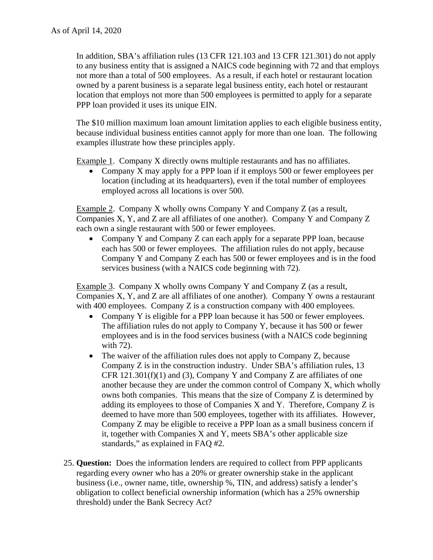In addition, SBA's affiliation rules (13 CFR 121.103 and 13 CFR 121.301) do not apply to any business entity that is assigned a NAICS code beginning with 72 and that employs not more than a total of 500 employees. As a result, if each hotel or restaurant location owned by a parent business is a separate legal business entity, each hotel or restaurant location that employs not more than 500 employees is permitted to apply for a separate PPP loan provided it uses its unique EIN.

The \$10 million maximum loan amount limitation applies to each eligible business entity, because individual business entities cannot apply for more than one loan. The following examples illustrate how these principles apply.

Example 1. Company X directly owns multiple restaurants and has no affiliates.

 Company X may apply for a PPP loan if it employs 500 or fewer employees per location (including at its headquarters), even if the total number of employees employed across all locations is over 500.

Example 2. Company X wholly owns Company Y and Company Z (as a result, Companies X, Y, and Z are all affiliates of one another). Company Y and Company Z each own a single restaurant with 500 or fewer employees.

• Company Y and Company Z can each apply for a separate PPP loan, because each has 500 or fewer employees. The affiliation rules do not apply, because Company Y and Company Z each has 500 or fewer employees and is in the food services business (with a NAICS code beginning with 72).

Example 3. Company X wholly owns Company Y and Company Z (as a result, Companies X, Y, and Z are all affiliates of one another). Company Y owns a restaurant with 400 employees. Company  $Z$  is a construction company with 400 employees.

- Company Y is eligible for a PPP loan because it has 500 or fewer employees. The affiliation rules do not apply to Company Y, because it has 500 or fewer employees and is in the food services business (with a NAICS code beginning with 72).
- The waiver of the affiliation rules does not apply to Company Z, because Company Z is in the construction industry. Under SBA's affiliation rules, 13 CFR 121.301(f)(1) and (3), Company Y and Company Z are affiliates of one another because they are under the common control of Company X, which wholly owns both companies. This means that the size of Company Z is determined by adding its employees to those of Companies X and Y. Therefore, Company Z is deemed to have more than 500 employees, together with its affiliates. However, Company Z may be eligible to receive a PPP loan as a small business concern if it, together with Companies X and Y, meets SBA's other applicable size standards," as explained in FAQ #2.
- 25. **Question:** Does the information lenders are required to collect from PPP applicants regarding every owner who has a 20% or greater ownership stake in the applicant business (i.e., owner name, title, ownership %, TIN, and address) satisfy a lender's obligation to collect beneficial ownership information (which has a 25% ownership threshold) under the Bank Secrecy Act?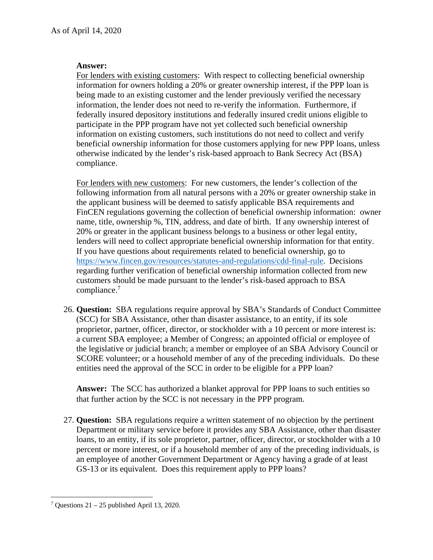## **Answer:**

For lenders with existing customers: With respect to collecting beneficial ownership information for owners holding a 20% or greater ownership interest, if the PPP loan is being made to an existing customer and the lender previously verified the necessary information, the lender does not need to re-verify the information. Furthermore, if federally insured depository institutions and federally insured credit unions eligible to participate in the PPP program have not yet collected such beneficial ownership information on existing customers, such institutions do not need to collect and verify beneficial ownership information for those customers applying for new PPP loans, unless otherwise indicated by the lender's risk-based approach to Bank Secrecy Act (BSA) compliance.

For lenders with new customers: For new customers, the lender's collection of the following information from all natural persons with a 20% or greater ownership stake in the applicant business will be deemed to satisfy applicable BSA requirements and FinCEN regulations governing the collection of beneficial ownership information: owner name, title, ownership %, TIN, address, and date of birth. If any ownership interest of 20% or greater in the applicant business belongs to a business or other legal entity, lenders will need to collect appropriate beneficial ownership information for that entity. If you have questions about requirements related to beneficial ownership, go to https://www.fincen.gov/resources/statutes-and-regulations/cdd-final-rule. Decisions regarding further verification of beneficial ownership information collected from new customers should be made pursuant to the lender's risk-based approach to BSA compliance.<sup>7</sup>

26. **Question:** SBA regulations require approval by SBA's Standards of Conduct Committee (SCC) for SBA Assistance, other than disaster assistance, to an entity, if its sole proprietor, partner, officer, director, or stockholder with a 10 percent or more interest is: a current SBA employee; a Member of Congress; an appointed official or employee of the legislative or judicial branch; a member or employee of an SBA Advisory Council or SCORE volunteer; or a household member of any of the preceding individuals. Do these entities need the approval of the SCC in order to be eligible for a PPP loan?

**Answer:** The SCC has authorized a blanket approval for PPP loans to such entities so that further action by the SCC is not necessary in the PPP program.

27. **Question:** SBA regulations require a written statement of no objection by the pertinent Department or military service before it provides any SBA Assistance, other than disaster loans, to an entity, if its sole proprietor, partner, officer, director, or stockholder with a 10 percent or more interest, or if a household member of any of the preceding individuals, is an employee of another Government Department or Agency having a grade of at least GS-13 or its equivalent. Does this requirement apply to PPP loans?

  $7$  Questions  $21 - 25$  published April 13, 2020.